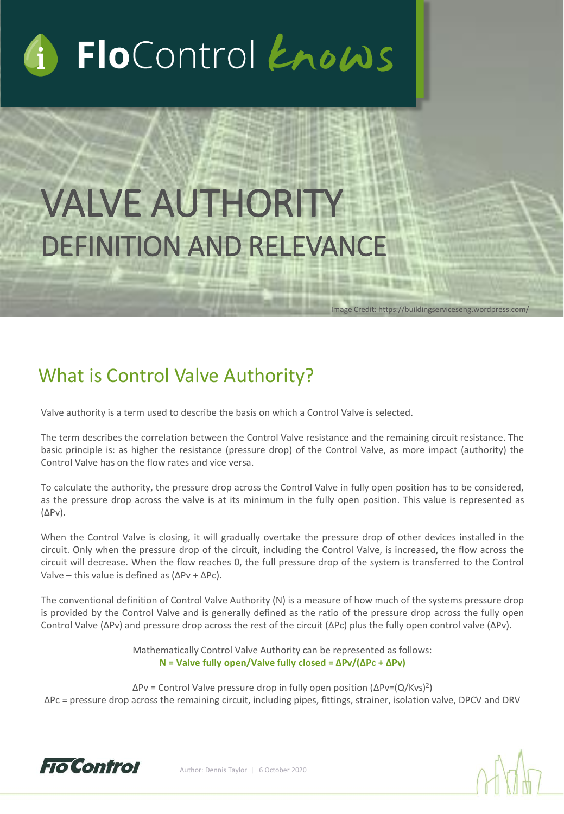# FloControl Enows

## VALVE AUTHORITY DEFINITION AND RELEVANCE

## What is Control Valve Authority?

Valve authority is a term used to describe the basis on which a Control Valve is selected.

The term describes the correlation between the Control Valve resistance and the remaining circuit resistance. The basic principle is: as higher the resistance (pressure drop) of the Control Valve, as more impact (authority) the Control Valve has on the flow rates and vice versa.

Image Credit: https://buildingserviceseng.wordpress.com/

To calculate the authority, the pressure drop across the Control Valve in fully open position has to be considered, as the pressure drop across the valve is at its minimum in the fully open position. This value is represented as (ΔPv).

When the Control Valve is closing, it will gradually overtake the pressure drop of other devices installed in the circuit. Only when the pressure drop of the circuit, including the Control Valve, is increased, the flow across the circuit will decrease. When the flow reaches 0, the full pressure drop of the system is transferred to the Control Valve – this value is defined as (ΔPv + ΔPc).

The conventional definition of Control Valve Authority (N) is a measure of how much of the systems pressure drop is provided by the Control Valve and is generally defined as the ratio of the pressure drop across the fully open Control Valve (ΔPv) and pressure drop across the rest of the circuit (ΔPc) plus the fully open control valve (ΔPv).

> Mathematically Control Valve Authority can be represented as follows: **N = Valve fully open/Valve fully closed = ΔPv/(ΔPc + ΔPv)**

ΔPv = Control Valve pressure drop in fully open position (ΔPv=(Q/Kvs) 2 ) ΔPc = pressure drop across the remaining circuit, including pipes, fittings, strainer, isolation valve, DPCV and DRV

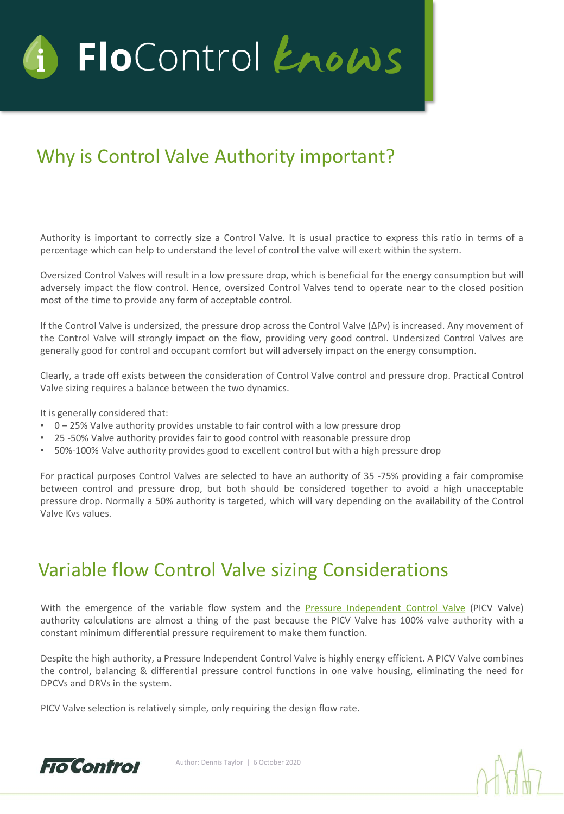

## Why is Control Valve Authority important?

Authority is important to correctly size a Control Valve. It is usual practice to express this ratio in terms of a percentage which can help to understand the level of control the valve will exert within the system.

Oversized Control Valves will result in a low pressure drop, which is beneficial for the energy consumption but will adversely impact the flow control. Hence, oversized Control Valves tend to operate near to the closed position most of the time to provide any form of acceptable control.

If the Control Valve is undersized, the pressure drop across the Control Valve (ΔPv) is increased. Any movement of the Control Valve will strongly impact on the flow, providing very good control. Undersized Control Valves are generally good for control and occupant comfort but will adversely impact on the energy consumption.

Clearly, a trade off exists between the consideration of Control Valve control and pressure drop. Practical Control Valve sizing requires a balance between the two dynamics.

It is generally considered that:

- 0 25% Valve authority provides unstable to fair control with a low pressure drop
- 25 -50% Valve authority provides fair to good control with reasonable pressure drop
- 50%-100% Valve authority provides good to excellent control but with a high pressure drop

For practical purposes Control Valves are selected to have an authority of 35 -75% providing a fair compromise between control and pressure drop, but both should be considered together to avoid a high unacceptable pressure drop. Normally a 50% authority is targeted, which will vary depending on the availability of the Control Valve Kvs values.

## Variable flow Control Valve sizing Considerations

With the emergence of the variable flow system and the Pressure [Independent](https://www.flocontrol.ltd.uk/products/dynamic-valve/pressure-independent-control-valves/) Control Valve (PICV Valve) authority calculations are almost a thing of the past because the PICV Valve has 100% valve authority with a constant minimum differential pressure requirement to make them function.

Despite the high authority, a Pressure Independent Control Valve is highly energy efficient. A PICV Valve combines the control, balancing & differential pressure control functions in one valve housing, eliminating the need for DPCVs and DRVs in the system.

PICV Valve selection is relatively simple, only requiring the design flow rate.

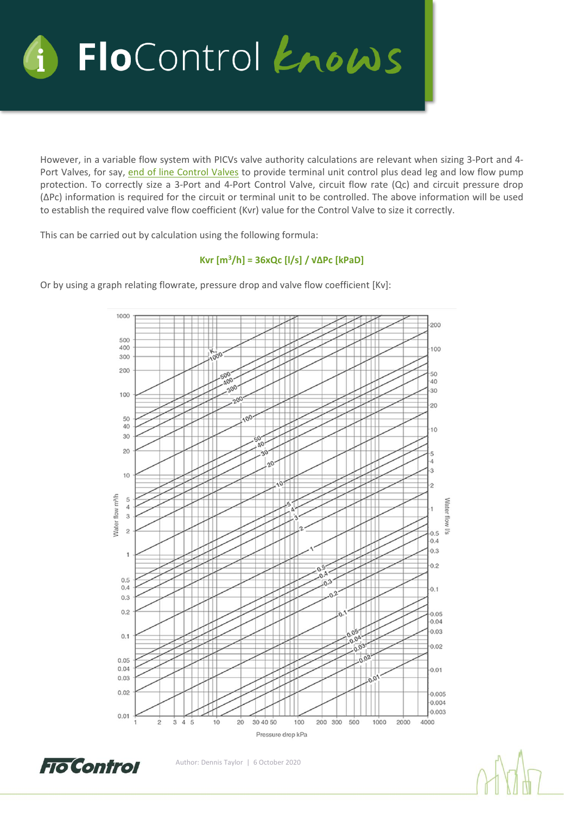

However, in a variable flow system with PICVs valve authority calculations are relevant when sizing 3-Port and 4- Port Valves, for say, end of line [Control](https://www.flocontrol.ltd.uk/valve-sets-manifold/fcu-valve-sets/4-port-compact-fcu-valve-sets/) Valves to provide terminal unit control plus dead leg and low flow pump protection. To correctly size a 3-Port and 4-Port Control Valve, circuit flow rate (Qc) and circuit pressure drop (ΔPc) information is required for the circuit or terminal unit to be controlled. The above information will be used to establish the required valve flow coefficient (Kvr) value for the Control Valve to size it correctly.

This can be carried out by calculation using the following formula:

#### **Kvr [m<sup>3</sup>/h] = 36xQc [l/s] / √ΔPc [kPaD]**

1000 200 500 400 100 000 300  $200$ 50 40 30 100  $^{20}$  $00<sub>4</sub>$ 50 40  $10$ 30 20 5 3 10  $\overline{c}$ Nater flow m<sup>3</sup>/h 5 **Nater flow**  $\ddot{4}$ 3  $\overline{c}$ **S**  $0.5$  $0.4$  $0.3$  $\mathbf{1}$  $0.2$  $0.5$  $0.4$  $0.1$  $0.3$  $0.2$ 0.05 0.04  $0.03$  $0.1$  $0.02$  $0.05$  $0.04$  $0.01$  $0.03$  $0.02$  $0.005$ 0.004  $0.003$  $0.01$  $\frac{1}{3}$  $\ddot{4}$  $\overline{5}$  $10$  $20$ 30 40 50 200 300 500 1000 2000 4000 100 Pressure drop kPa

Or by using a graph relating flowrate, pressure drop and valve flow coefficient [Kv]:

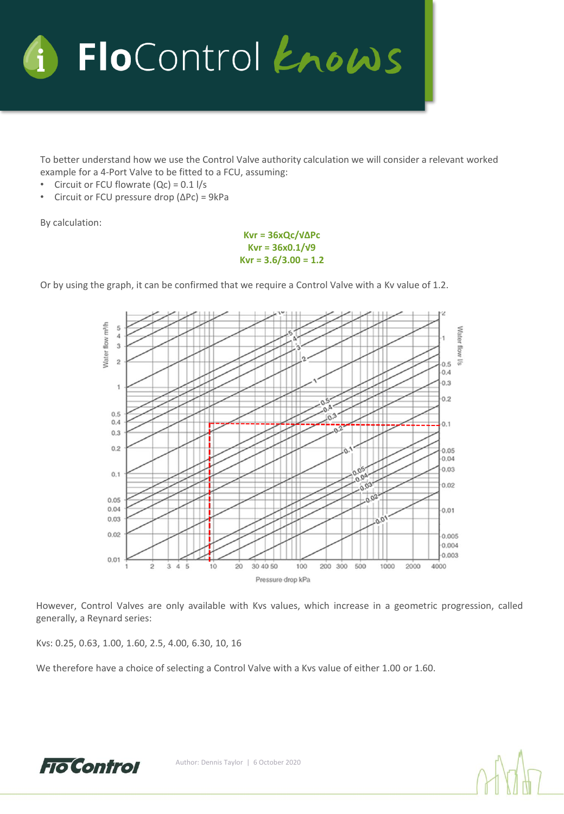

To better understand how we use the Control Valve authority calculation we will consider a relevant worked example for a 4-Port Valve to be fitted to a FCU, assuming:

- Circuit or FCU flowrate  $(Qc) = 0.1$  l/s
- Circuit or FCU pressure drop (ΔPc) = 9kPa

By calculation:

**Kvr = 36xQc/√ΔPc Kvr = 36x0.1/√9 Kvr = 3.6/3.00 = 1.2**

Or by using the graph, it can be confirmed that we require a Control Valve with a Kv value of 1.2.



However, Control Valves are only available with Kvs values, which increase in a geometric progression, called generally, a Reynard series:

Kvs: 0.25, 0.63, 1.00, 1.60, 2.5, 4.00, 6.30, 10, 16

We therefore have a choice of selecting a Control Valve with a Kvs value of either 1.00 or 1.60.